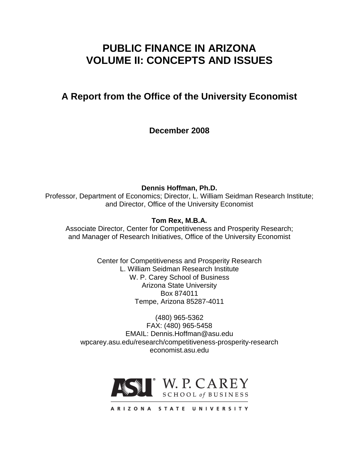# **PUBLIC FINANCE IN ARIZONA VOLUME II: CONCEPTS AND ISSUES**

# **A Report from the Office of the University Economist**

**December 2008**

**Dennis Hoffman, Ph.D.** Professor, Department of Economics; Director, L. William Seidman Research Institute; and Director, Office of the University Economist

**Tom Rex, M.B.A.**

Associate Director, Center for Competitiveness and Prosperity Research; and Manager of Research Initiatives, Office of the University Economist

> Center for Competitiveness and Prosperity Research L. William Seidman Research Institute W. P. Carey School of Business Arizona State University Box 874011 Tempe, Arizona 85287-4011

(480) 965-5362 FAX: (480) 965-5458 EMAIL: Dennis.Hoffman@asu.edu wpcarey.asu.edu/research/competitiveness-prosperity-research economist.asu.edu

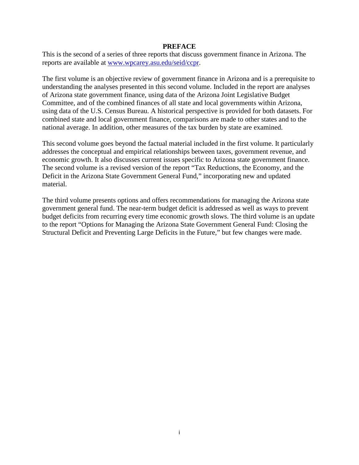#### **PREFACE**

This is the second of a series of three reports that discuss government finance in Arizona. The reports are available at www.wpcarey.asu.edu/seid/ccpr.

The first volume is an objective review of government finance in Arizona and is a prerequisite to understanding the analyses presented in this second volume. Included in the report are analyses of Arizona state government finance, using data of the Arizona Joint Legislative Budget Committee, and of the combined finances of all state and local governments within Arizona, using data of the U.S. Census Bureau. A historical perspective is provided for both datasets. For combined state and local government finance, comparisons are made to other states and to the national average. In addition, other measures of the tax burden by state are examined.

This second volume goes beyond the factual material included in the first volume. It particularly addresses the conceptual and empirical relationships between taxes, government revenue, and economic growth. It also discusses current issues specific to Arizona state government finance. The second volume is a revised version of the report "Tax Reductions, the Economy, and the Deficit in the Arizona State Government General Fund," incorporating new and updated material.

The third volume presents options and offers recommendations for managing the Arizona state government general fund. The near-term budget deficit is addressed as well as ways to prevent budget deficits from recurring every time economic growth slows. The third volume is an update to the report "Options for Managing the Arizona State Government General Fund: Closing the Structural Deficit and Preventing Large Deficits in the Future," but few changes were made.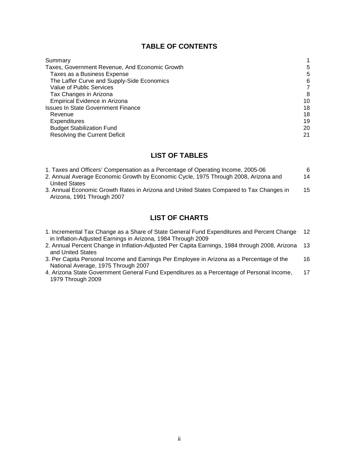## **TABLE OF CONTENTS**

| Summary                                        |    |
|------------------------------------------------|----|
| Taxes, Government Revenue, And Economic Growth | 5  |
| Taxes as a Business Expense                    | 5  |
| The Laffer Curve and Supply-Side Economics     | 6  |
| Value of Public Services                       |    |
| Tax Changes in Arizona                         | 8  |
| <b>Empirical Evidence in Arizona</b>           | 10 |
| <b>Issues In State Government Finance</b>      | 18 |
| Revenue                                        | 18 |
| Expenditures                                   | 19 |
| <b>Budget Stabilization Fund</b>               | 20 |
| Resolving the Current Deficit                  | 21 |

## **LIST OF TABLES**

| 1. Taxes and Officers' Compensation as a Percentage of Operating Income, 2005-06                                      | 6  |
|-----------------------------------------------------------------------------------------------------------------------|----|
| 2. Annual Average Economic Growth by Economic Cycle, 1975 Through 2008, Arizona and                                   | 14 |
| <b>United States</b>                                                                                                  |    |
| 3. Annual Economic Growth Rates in Arizona and United States Compared to Tax Changes in<br>Arizona, 1991 Through 2007 | 15 |
|                                                                                                                       |    |

# **LIST OF CHARTS**

| 1. Incremental Tax Change as a Share of State General Fund Expenditures and Percent Change 12 |  |
|-----------------------------------------------------------------------------------------------|--|
| in Inflation-Adjusted Earnings in Arizona, 1984 Through 2009                                  |  |

- 2. Annual Percent Change in Inflation-Adjusted Per Capita Earnings, 1984 through 2008, Arizona 13 and United States
- 3. Per Capita Personal Income and Earnings Per Employee in Arizona as a Percentage of the National Average, 1975 Through 2007 16
- 4. Arizona State Government General Fund Expenditures as a Percentage of Personal Income, 1979 Through 2009 17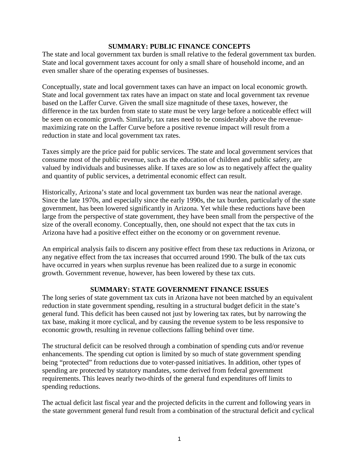#### **SUMMARY: PUBLIC FINANCE CONCEPTS**

The state and local government tax burden is small relative to the federal government tax burden. State and local government taxes account for only a small share of household income, and an even smaller share of the operating expenses of businesses.

Conceptually, state and local government taxes can have an impact on local economic growth. State and local government tax rates have an impact on state and local government tax revenue based on the Laffer Curve. Given the small size magnitude of these taxes, however, the difference in the tax burden from state to state must be very large before a noticeable effect will be seen on economic growth. Similarly, tax rates need to be considerably above the revenuemaximizing rate on the Laffer Curve before a positive revenue impact will result from a reduction in state and local government tax rates.

Taxes simply are the price paid for public services. The state and local government services that consume most of the public revenue, such as the education of children and public safety, are valued by individuals and businesses alike. If taxes are so low as to negatively affect the quality and quantity of public services, a detrimental economic effect can result.

Historically, Arizona's state and local government tax burden was near the national average. Since the late 1970s, and especially since the early 1990s, the tax burden, particularly of the state government, has been lowered significantly in Arizona. Yet while these reductions have been large from the perspective of state government, they have been small from the perspective of the size of the overall economy. Conceptually, then, one should not expect that the tax cuts in Arizona have had a positive effect either on the economy or on government revenue.

An empirical analysis fails to discern any positive effect from these tax reductions in Arizona, or any negative effect from the tax increases that occurred around 1990. The bulk of the tax cuts have occurred in years when surplus revenue has been realized due to a surge in economic growth. Government revenue, however, has been lowered by these tax cuts.

## **SUMMARY: STATE GOVERNMENT FINANCE ISSUES**

The long series of state government tax cuts in Arizona have not been matched by an equivalent reduction in state government spending, resulting in a structural budget deficit in the state's general fund. This deficit has been caused not just by lowering tax rates, but by narrowing the tax base, making it more cyclical, and by causing the revenue system to be less responsive to economic growth, resulting in revenue collections falling behind over time.

The structural deficit can be resolved through a combination of spending cuts and/or revenue enhancements. The spending cut option is limited by so much of state government spending being "protected" from reductions due to voter-passed initiatives. In addition, other types of spending are protected by statutory mandates, some derived from federal government requirements. This leaves nearly two-thirds of the general fund expenditures off limits to spending reductions.

The actual deficit last fiscal year and the projected deficits in the current and following years in the state government general fund result from a combination of the structural deficit and cyclical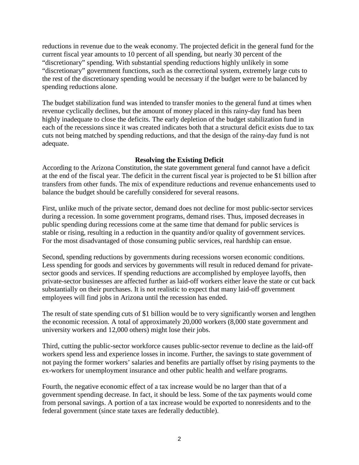reductions in revenue due to the weak economy. The projected deficit in the general fund for the current fiscal year amounts to 10 percent of all spending, but nearly 30 percent of the "discretionary" spending. With substantial spending reductions highly unlikely in some "discretionary" government functions, such as the correctional system, extremely large cuts to the rest of the discretionary spending would be necessary if the budget were to be balanced by spending reductions alone.

The budget stabilization fund was intended to transfer monies to the general fund at times when revenue cyclically declines, but the amount of money placed in this rainy-day fund has been highly inadequate to close the deficits. The early depletion of the budget stabilization fund in each of the recessions since it was created indicates both that a structural deficit exists due to tax cuts not being matched by spending reductions, and that the design of the rainy-day fund is not adequate.

#### **Resolving the Existing Deficit**

According to the Arizona Constitution, the state government general fund cannot have a deficit at the end of the fiscal year. The deficit in the current fiscal year is projected to be \$1 billion after transfers from other funds. The mix of expenditure reductions and revenue enhancements used to balance the budget should be carefully considered for several reasons.

First, unlike much of the private sector, demand does not decline for most public-sector services during a recession. In some government programs, demand rises. Thus, imposed decreases in public spending during recessions come at the same time that demand for public services is stable or rising, resulting in a reduction in the quantity and/or quality of government services. For the most disadvantaged of those consuming public services, real hardship can ensue.

Second, spending reductions by governments during recessions worsen economic conditions. Less spending for goods and services by governments will result in reduced demand for privatesector goods and services. If spending reductions are accomplished by employee layoffs, then private-sector businesses are affected further as laid-off workers either leave the state or cut back substantially on their purchases. It is not realistic to expect that many laid-off government employees will find jobs in Arizona until the recession has ended.

The result of state spending cuts of \$1 billion would be to very significantly worsen and lengthen the economic recession. A total of approximately 20,000 workers (8,000 state government and university workers and 12,000 others) might lose their jobs.

Third, cutting the public-sector workforce causes public-sector revenue to decline as the laid-off workers spend less and experience losses in income. Further, the savings to state government of not paying the former workers' salaries and benefits are partially offset by rising payments to the ex-workers for unemployment insurance and other public health and welfare programs.

Fourth, the negative economic effect of a tax increase would be no larger than that of a government spending decrease. In fact, it should be less. Some of the tax payments would come from personal savings. A portion of a tax increase would be exported to nonresidents and to the federal government (since state taxes are federally deductible).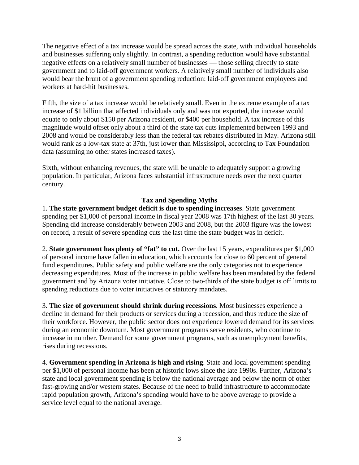The negative effect of a tax increase would be spread across the state, with individual households and businesses suffering only slightly. In contrast, a spending reduction would have substantial negative effects on a relatively small number of businesses — those selling directly to state government and to laid-off government workers. A relatively small number of individuals also would bear the brunt of a government spending reduction: laid-off government employees and workers at hard-hit businesses.

Fifth, the size of a tax increase would be relatively small. Even in the extreme example of a tax increase of \$1 billion that affected individuals only and was not exported, the increase would equate to only about \$150 per Arizona resident, or \$400 per household. A tax increase of this magnitude would offset only about a third of the state tax cuts implemented between 1993 and 2008 and would be considerably less than the federal tax rebates distributed in May. Arizona still would rank as a low-tax state at 37th, just lower than Mississippi, according to Tax Foundation data (assuming no other states increased taxes).

Sixth, without enhancing revenues, the state will be unable to adequately support a growing population. In particular, Arizona faces substantial infrastructure needs over the next quarter century.

## **Tax and Spending Myths**

1. **The state government budget deficit is due to spending increases**. State government spending per \$1,000 of personal income in fiscal year 2008 was 17th highest of the last 30 years. Spending did increase considerably between 2003 and 2008, but the 2003 figure was the lowest on record, a result of severe spending cuts the last time the state budget was in deficit.

2. **State government has plenty of "fat" to cut.** Over the last 15 years, expenditures per \$1,000 of personal income have fallen in education, which accounts for close to 60 percent of general fund expenditures. Public safety and public welfare are the only categories not to experience decreasing expenditures. Most of the increase in public welfare has been mandated by the federal government and by Arizona voter initiative. Close to two-thirds of the state budget is off limits to spending reductions due to voter initiatives or statutory mandates.

3. **The size of government should shrink during recessions**. Most businesses experience a decline in demand for their products or services during a recession, and thus reduce the size of their workforce. However, the public sector does not experience lowered demand for its services during an economic downturn. Most government programs serve residents, who continue to increase in number. Demand for some government programs, such as unemployment benefits, rises during recessions.

4. **Government spending in Arizona is high and rising**. State and local government spending per \$1,000 of personal income has been at historic lows since the late 1990s. Further, Arizona's state and local government spending is below the national average and below the norm of other fast-growing and/or western states. Because of the need to build infrastructure to accommodate rapid population growth, Arizona's spending would have to be above average to provide a service level equal to the national average.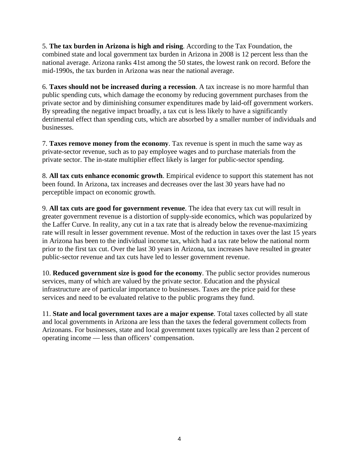5. **The tax burden in Arizona is high and rising**. According to the Tax Foundation, the combined state and local government tax burden in Arizona in 2008 is 12 percent less than the national average. Arizona ranks 41st among the 50 states, the lowest rank on record. Before the mid-1990s, the tax burden in Arizona was near the national average.

6. **Taxes should not be increased during a recession**. A tax increase is no more harmful than public spending cuts, which damage the economy by reducing government purchases from the private sector and by diminishing consumer expenditures made by laid-off government workers. By spreading the negative impact broadly, a tax cut is less likely to have a significantly detrimental effect than spending cuts, which are absorbed by a smaller number of individuals and businesses.

7. **Taxes remove money from the economy**. Tax revenue is spent in much the same way as private-sector revenue, such as to pay employee wages and to purchase materials from the private sector. The in-state multiplier effect likely is larger for public-sector spending.

8. **All tax cuts enhance economic growth**. Empirical evidence to support this statement has not been found. In Arizona, tax increases and decreases over the last 30 years have had no perceptible impact on economic growth.

9. **All tax cuts are good for government revenue**. The idea that every tax cut will result in greater government revenue is a distortion of supply-side economics, which was popularized by the Laffer Curve. In reality, any cut in a tax rate that is already below the revenue-maximizing rate will result in lesser government revenue. Most of the reduction in taxes over the last 15 years in Arizona has been to the individual income tax, which had a tax rate below the national norm prior to the first tax cut. Over the last 30 years in Arizona, tax increases have resulted in greater public-sector revenue and tax cuts have led to lesser government revenue.

10. **Reduced government size is good for the economy**. The public sector provides numerous services, many of which are valued by the private sector. Education and the physical infrastructure are of particular importance to businesses. Taxes are the price paid for these services and need to be evaluated relative to the public programs they fund.

11. **State and local government taxes are a major expense**. Total taxes collected by all state and local governments in Arizona are less than the taxes the federal government collects from Arizonans. For businesses, state and local government taxes typically are less than 2 percent of operating income — less than officers' compensation.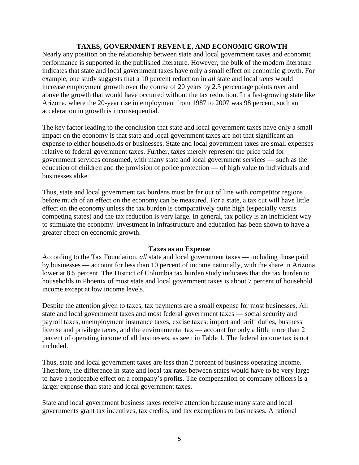#### **TAXES, GOVERNMENT REVENUE, AND ECONOMIC GROWTH**

Nearly any position on the relationship between state and local government taxes and economic performance is supported in the published literature. However, the bulk of the modern literature indicates that state and local government taxes have only a small effect on economic growth. For example, one study suggests that a 10 percent reduction in *all* state and local taxes would increase employment growth over the course of 20 years by 2.5 percentage points over and above the growth that would have occurred without the tax reduction. In a fast-growing state like Arizona, where the 20-year rise in employment from 1987 to 2007 was 98 percent, such an acceleration in growth is inconsequential.

The key factor leading to the conclusion that state and local government taxes have only a small impact on the economy is that state and local government taxes are not that significant an expense to either households or businesses. State and local government taxes are small expenses relative to federal government taxes. Further, taxes merely represent the price paid for government services consumed, with many state and local government services — such as the education of children and the provision of police protection — of high value to individuals and businesses alike.

Thus, state and local government tax burdens must be far out of line with competitor regions before much of an effect on the economy can be measured. For a state, a tax cut will have little effect on the economy unless the tax burden is comparatively quite high (especially versus competing states) and the tax reduction is very large. In general, tax policy is an inefficient way to stimulate the economy. Investment in infrastructure and education has been shown to have a greater effect on economic growth.

#### **Taxes as an Expense**

According to the Tax Foundation, *all* state and local government taxes — including those paid by businesses — account for less than 10 percent of income nationally, with the share in Arizona lower at 8.5 percent. The District of Columbia tax burden study indicates that the tax burden to households in Phoenix of most state and local government taxes is about 7 percent of household income except at low income levels.

Despite the attention given to taxes, tax payments are a small expense for most businesses. All state and local government taxes and most federal government taxes — social security and payroll taxes, unemployment insurance taxes, excise taxes, import and tariff duties, business license and privilege taxes, and the environmental tax — account for only a little more than 2 percent of operating income of all businesses, as seen in Table 1. The federal income tax is not included.

Thus, state and local government taxes are less than 2 percent of business operating income. Therefore, the difference in state and local tax rates between states would have to be very large to have a noticeable effect on a company's profits. The compensation of company officers is a larger expense than state and local government taxes.

State and local government business taxes receive attention because many state and local governments grant tax incentives, tax credits, and tax exemptions to businesses. A rational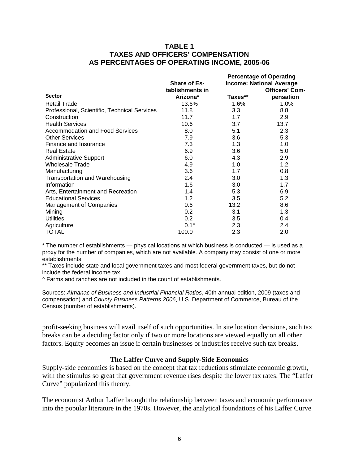#### **TABLE 1 TAXES AND OFFICERS' COMPENSATION AS PERCENTAGES OF OPERATING INCOME, 2005-06**

|                                              |                     | <b>Percentage of Operating</b> |                                 |  |
|----------------------------------------------|---------------------|--------------------------------|---------------------------------|--|
|                                              | <b>Share of Es-</b> |                                | <b>Income: National Average</b> |  |
|                                              | tablishments in     |                                | <b>Officers' Com-</b>           |  |
| <b>Sector</b>                                | Arizona*            | Taxes**                        | pensation                       |  |
| <b>Retail Trade</b>                          | 13.6%               | $1.6\%$                        | 1.0%                            |  |
| Professional, Scientific, Technical Services | 11.8                | 3.3                            | 8.8                             |  |
| Construction                                 | 11.7                | 1.7                            | 2.9                             |  |
| <b>Health Services</b>                       | 10.6                | 3.7                            | 13.7                            |  |
| <b>Accommodation and Food Services</b>       | 8.0                 | 5.1                            | 2.3                             |  |
| <b>Other Services</b>                        | 7.9                 | 3.6                            | 5.3                             |  |
| Finance and Insurance                        | 7.3                 | 1.3                            | 1.0                             |  |
| <b>Real Estate</b>                           | 6.9                 | 3.6                            | 5.0                             |  |
| <b>Administrative Support</b>                | 6.0                 | 4.3                            | 2.9                             |  |
| <b>Wholesale Trade</b>                       | 4.9                 | 1.0                            | 1.2                             |  |
| Manufacturing                                | 3.6                 | 1.7                            | 0.8                             |  |
| Transportation and Warehousing               | 2.4                 | 3.0                            | 1.3                             |  |
| Information                                  | 1.6                 | 3.0                            | 1.7                             |  |
| Arts, Entertainment and Recreation           | 1.4                 | 5.3                            | 6.9                             |  |
| <b>Educational Services</b>                  | 1.2                 | 3.5                            | 5.2                             |  |
| <b>Management of Companies</b>               | 0.6                 | 13.2                           | 8.6                             |  |
| Mining                                       | 0.2                 | 3.1                            | 1.3                             |  |
| <b>Utilities</b>                             | 0.2                 | 3.5                            | 0.4                             |  |
| Agriculture                                  | $0.1^$              | 2.3                            | 2.4                             |  |
| <b>TOTAL</b>                                 | 100.0               | 2.3                            | 2.0                             |  |

\* The number of establishments — physical locations at which business is conducted — is used as a proxy for the number of companies, which are not available. A company may consist of one or more establishments.

\*\* Taxes include state and local government taxes and most federal government taxes, but do not include the federal income tax.

^ Farms and ranches are not included in the count of establishments.

Sources: *Almanac of Business and Industrial Financial Ratios*, 40th annual edition, 2009 (taxes and compensation) and *County Business Patterns 2006*, U.S. Department of Commerce, Bureau of the Census (number of establishments).

profit-seeking business will avail itself of such opportunities. In site location decisions, such tax breaks can be a deciding factor only if two or more locations are viewed equally on all other factors. Equity becomes an issue if certain businesses or industries receive such tax breaks.

#### **The Laffer Curve and Supply-Side Economics**

Supply-side economics is based on the concept that tax reductions stimulate economic growth, with the stimulus so great that government revenue rises despite the lower tax rates. The "Laffer Curve" popularized this theory.

The economist Arthur Laffer brought the relationship between taxes and economic performance into the popular literature in the 1970s. However, the analytical foundations of his Laffer Curve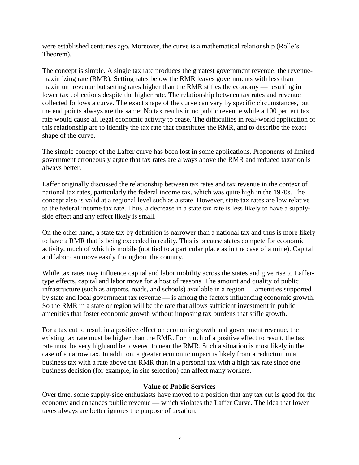were established centuries ago. Moreover, the curve is a mathematical relationship (Rolle's Theorem).

The concept is simple. A single tax rate produces the greatest government revenue: the revenuemaximizing rate (RMR). Setting rates below the RMR leaves governments with less than maximum revenue but setting rates higher than the RMR stifles the economy — resulting in lower tax collections despite the higher rate. The relationship between tax rates and revenue collected follows a curve. The exact shape of the curve can vary by specific circumstances, but the end points always are the same: No tax results in no public revenue while a 100 percent tax rate would cause all legal economic activity to cease. The difficulties in real-world application of this relationship are to identify the tax rate that constitutes the RMR, and to describe the exact shape of the curve.

The simple concept of the Laffer curve has been lost in some applications. Proponents of limited government erroneously argue that tax rates are always above the RMR and reduced taxation is always better.

Laffer originally discussed the relationship between tax rates and tax revenue in the context of national tax rates, particularly the federal income tax, which was quite high in the 1970s. The concept also is valid at a regional level such as a state. However, state tax rates are low relative to the federal income tax rate. Thus, a decrease in a state tax rate is less likely to have a supplyside effect and any effect likely is small.

On the other hand, a state tax by definition is narrower than a national tax and thus is more likely to have a RMR that is being exceeded in reality. This is because states compete for economic activity, much of which is mobile (not tied to a particular place as in the case of a mine). Capital and labor can move easily throughout the country.

While tax rates may influence capital and labor mobility across the states and give rise to Laffertype effects, capital and labor move for a host of reasons. The amount and quality of public infrastructure (such as airports, roads, and schools) available in a region — amenities supported by state and local government tax revenue — is among the factors influencing economic growth. So the RMR in a state or region will be the rate that allows sufficient investment in public amenities that foster economic growth without imposing tax burdens that stifle growth.

For a tax cut to result in a positive effect on economic growth and government revenue, the existing tax rate must be higher than the RMR. For much of a positive effect to result, the tax rate must be very high and be lowered to near the RMR. Such a situation is most likely in the case of a narrow tax. In addition, a greater economic impact is likely from a reduction in a business tax with a rate above the RMR than in a personal tax with a high tax rate since one business decision (for example, in site selection) can affect many workers.

#### **Value of Public Services**

Over time, some supply-side enthusiasts have moved to a position that any tax cut is good for the economy and enhances public revenue — which violates the Laffer Curve. The idea that lower taxes always are better ignores the purpose of taxation.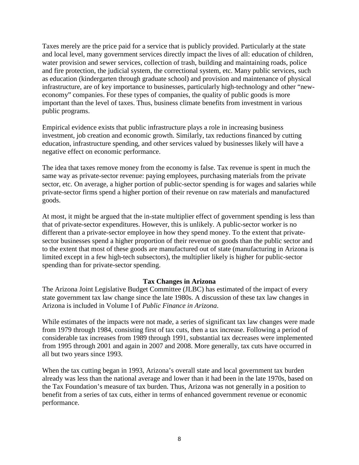Taxes merely are the price paid for a service that is publicly provided. Particularly at the state and local level, many government services directly impact the lives of all: education of children, water provision and sewer services, collection of trash, building and maintaining roads, police and fire protection, the judicial system, the correctional system, etc. Many public services, such as education (kindergarten through graduate school) and provision and maintenance of physical infrastructure, are of key importance to businesses, particularly high-technology and other "neweconomy" companies. For these types of companies, the quality of public goods is more important than the level of taxes. Thus, business climate benefits from investment in various public programs.

Empirical evidence exists that public infrastructure plays a role in increasing business investment, job creation and economic growth. Similarly, tax reductions financed by cutting education, infrastructure spending, and other services valued by businesses likely will have a negative effect on economic performance.

The idea that taxes remove money from the economy is false. Tax revenue is spent in much the same way as private-sector revenue: paying employees, purchasing materials from the private sector, etc. On average, a higher portion of public-sector spending is for wages and salaries while private-sector firms spend a higher portion of their revenue on raw materials and manufactured goods.

At most, it might be argued that the in-state multiplier effect of government spending is less than that of private-sector expenditures. However, this is unlikely. A public-sector worker is no different than a private-sector employee in how they spend money. To the extent that privatesector businesses spend a higher proportion of their revenue on goods than the public sector and to the extent that most of these goods are manufactured out of state (manufacturing in Arizona is limited except in a few high-tech subsectors), the multiplier likely is higher for public-sector spending than for private-sector spending.

#### **Tax Changes in Arizona**

The Arizona Joint Legislative Budget Committee (JLBC) has estimated of the impact of every state government tax law change since the late 1980s. A discussion of these tax law changes in Arizona is included in Volume I of *Public Finance in Arizona*.

While estimates of the impacts were not made, a series of significant tax law changes were made from 1979 through 1984, consisting first of tax cuts, then a tax increase. Following a period of considerable tax increases from 1989 through 1991, substantial tax decreases were implemented from 1995 through 2001 and again in 2007 and 2008. More generally, tax cuts have occurred in all but two years since 1993.

When the tax cutting began in 1993, Arizona's overall state and local government tax burden already was less than the national average and lower than it had been in the late 1970s, based on the Tax Foundation's measure of tax burden. Thus, Arizona was not generally in a position to benefit from a series of tax cuts, either in terms of enhanced government revenue or economic performance.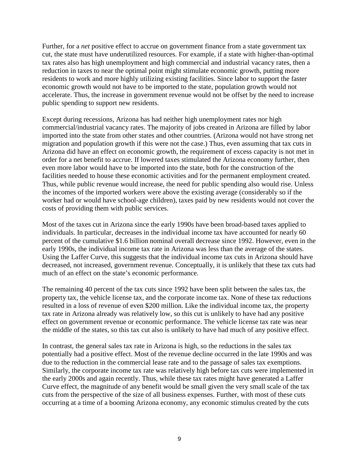Further, for a *net* positive effect to accrue on government finance from a state government tax cut, the state must have underutilized resources. For example, if a state with higher-than-optimal tax rates also has high unemployment and high commercial and industrial vacancy rates, then a reduction in taxes to near the optimal point might stimulate economic growth, putting more residents to work and more highly utilizing existing facilities. Since labor to support the faster economic growth would not have to be imported to the state, population growth would not accelerate. Thus, the increase in government revenue would not be offset by the need to increase public spending to support new residents.

Except during recessions, Arizona has had neither high unemployment rates nor high commercial/industrial vacancy rates. The majority of jobs created in Arizona are filled by labor imported into the state from other states and other countries. (Arizona would not have strong net migration and population growth if this were not the case.) Thus, even assuming that tax cuts in Arizona did have an effect on economic growth, the requirement of excess capacity is not met in order for a net benefit to accrue. If lowered taxes stimulated the Arizona economy further, then even more labor would have to be imported into the state, both for the construction of the facilities needed to house these economic activities and for the permanent employment created. Thus, while public revenue would increase, the need for public spending also would rise. Unless the incomes of the imported workers were above the existing average (considerably so if the worker had or would have school-age children), taxes paid by new residents would not cover the costs of providing them with public services.

Most of the taxes cut in Arizona since the early 1990s have been broad-based taxes applied to individuals. In particular, decreases in the individual income tax have accounted for nearly 60 percent of the cumulative \$1.6 billion nominal overall decrease since 1992. However, even in the early 1990s, the individual income tax rate in Arizona was less than the average of the states. Using the Laffer Curve, this suggests that the individual income tax cuts in Arizona should have decreased, not increased, government revenue. Conceptually, it is unlikely that these tax cuts had much of an effect on the state's economic performance.

The remaining 40 percent of the tax cuts since 1992 have been split between the sales tax, the property tax, the vehicle license tax, and the corporate income tax. None of these tax reductions resulted in a loss of revenue of even \$200 million. Like the individual income tax, the property tax rate in Arizona already was relatively low, so this cut is unlikely to have had any positive effect on government revenue or economic performance. The vehicle license tax rate was near the middle of the states, so this tax cut also is unlikely to have had much of any positive effect.

In contrast, the general sales tax rate in Arizona is high, so the reductions in the sales tax potentially had a positive effect. Most of the revenue decline occurred in the late 1990s and was due to the reduction in the commercial lease rate and to the passage of sales tax exemptions. Similarly, the corporate income tax rate was relatively high before tax cuts were implemented in the early 2000s and again recently. Thus, while these tax rates might have generated a Laffer Curve effect, the magnitude of any benefit would be small given the very small scale of the tax cuts from the perspective of the size of all business expenses. Further, with most of these cuts occurring at a time of a booming Arizona economy, any economic stimulus created by the cuts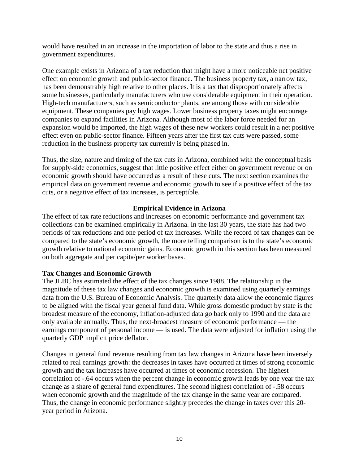would have resulted in an increase in the importation of labor to the state and thus a rise in government expenditures.

One example exists in Arizona of a tax reduction that might have a more noticeable net positive effect on economic growth and public-sector finance. The business property tax, a narrow tax, has been demonstrably high relative to other places. It is a tax that disproportionately affects some businesses, particularly manufacturers who use considerable equipment in their operation. High-tech manufacturers, such as semiconductor plants, are among those with considerable equipment. These companies pay high wages. Lower business property taxes might encourage companies to expand facilities in Arizona. Although most of the labor force needed for an expansion would be imported, the high wages of these new workers could result in a net positive effect even on public-sector finance. Fifteen years after the first tax cuts were passed, some reduction in the business property tax currently is being phased in.

Thus, the size, nature and timing of the tax cuts in Arizona, combined with the conceptual basis for supply-side economics, suggest that little positive effect either on government revenue or on economic growth should have occurred as a result of these cuts. The next section examines the empirical data on government revenue and economic growth to see if a positive effect of the tax cuts, or a negative effect of tax increases, is perceptible.

#### **Empirical Evidence in Arizona**

The effect of tax rate reductions and increases on economic performance and government tax collections can be examined empirically in Arizona. In the last 30 years, the state has had two periods of tax reductions and one period of tax increases. While the record of tax changes can be compared to the state's economic growth, the more telling comparison is to the state's economic growth relative to national economic gains. Economic growth in this section has been measured on both aggregate and per capita/per worker bases.

## **Tax Changes and Economic Growth**

The JLBC has estimated the effect of the tax changes since 1988. The relationship in the magnitude of these tax law changes and economic growth is examined using quarterly earnings data from the U.S. Bureau of Economic Analysis. The quarterly data allow the economic figures to be aligned with the fiscal year general fund data. While gross domestic product by state is the broadest measure of the economy, inflation-adjusted data go back only to 1990 and the data are only available annually. Thus, the next-broadest measure of economic performance — the earnings component of personal income — is used. The data were adjusted for inflation using the quarterly GDP implicit price deflator.

Changes in general fund revenue resulting from tax law changes in Arizona have been inversely related to real earnings growth: the decreases in taxes have occurred at times of strong economic growth and the tax increases have occurred at times of economic recession. The highest correlation of -.64 occurs when the percent change in economic growth leads by one year the tax change as a share of general fund expenditures. The second highest correlation of -.58 occurs when economic growth and the magnitude of the tax change in the same year are compared. Thus, the change in economic performance slightly precedes the change in taxes over this 20 year period in Arizona.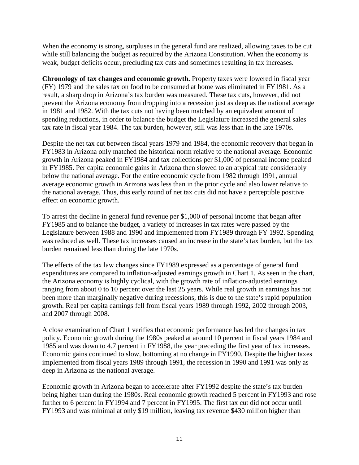When the economy is strong, surpluses in the general fund are realized, allowing taxes to be cut while still balancing the budget as required by the Arizona Constitution. When the economy is weak, budget deficits occur, precluding tax cuts and sometimes resulting in tax increases.

**Chronology of tax changes and economic growth.** Property taxes were lowered in fiscal year (FY) 1979 and the sales tax on food to be consumed at home was eliminated in FY1981. As a result, a sharp drop in Arizona's tax burden was measured. These tax cuts, however, did not prevent the Arizona economy from dropping into a recession just as deep as the national average in 1981 and 1982. With the tax cuts not having been matched by an equivalent amount of spending reductions, in order to balance the budget the Legislature increased the general sales tax rate in fiscal year 1984. The tax burden, however, still was less than in the late 1970s.

Despite the net tax cut between fiscal years 1979 and 1984, the economic recovery that began in FY1983 in Arizona only matched the historical norm relative to the national average. Economic growth in Arizona peaked in FY1984 and tax collections per \$1,000 of personal income peaked in FY1985. Per capita economic gains in Arizona then slowed to an atypical rate considerably below the national average. For the entire economic cycle from 1982 through 1991, annual average economic growth in Arizona was less than in the prior cycle and also lower relative to the national average. Thus, this early round of net tax cuts did not have a perceptible positive effect on economic growth.

To arrest the decline in general fund revenue per \$1,000 of personal income that began after FY1985 and to balance the budget, a variety of increases in tax rates were passed by the Legislature between 1988 and 1990 and implemented from FY1989 through FY 1992. Spending was reduced as well. These tax increases caused an increase in the state's tax burden, but the tax burden remained less than during the late 1970s.

The effects of the tax law changes since FY1989 expressed as a percentage of general fund expenditures are compared to inflation-adjusted earnings growth in Chart 1. As seen in the chart, the Arizona economy is highly cyclical, with the growth rate of inflation-adjusted earnings ranging from about 0 to 10 percent over the last 25 years. While real growth in earnings has not been more than marginally negative during recessions, this is due to the state's rapid population growth. Real per capita earnings fell from fiscal years 1989 through 1992, 2002 through 2003, and 2007 through 2008.

A close examination of Chart 1 verifies that economic performance has led the changes in tax policy. Economic growth during the 1980s peaked at around 10 percent in fiscal years 1984 and 1985 and was down to 4.7 percent in FY1988, the year preceding the first year of tax increases. Economic gains continued to slow, bottoming at no change in FY1990. Despite the higher taxes implemented from fiscal years 1989 through 1991, the recession in 1990 and 1991 was only as deep in Arizona as the national average.

Economic growth in Arizona began to accelerate after FY1992 despite the state's tax burden being higher than during the 1980s. Real economic growth reached 5 percent in FY1993 and rose further to 6 percent in FY1994 and 7 percent in FY1995. The first tax cut did not occur until FY1993 and was minimal at only \$19 million, leaving tax revenue \$430 million higher than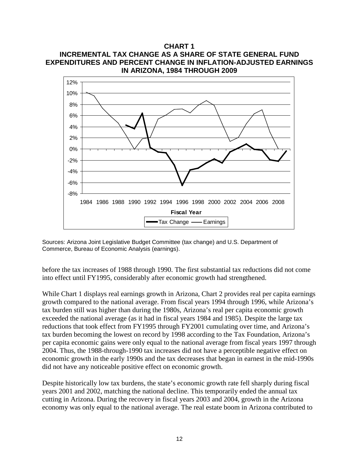## **CHART 1 INCREMENTAL TAX CHANGE AS A SHARE OF STATE GENERAL FUND EXPENDITURES AND PERCENT CHANGE IN INFLATION-ADJUSTED EARNINGS IN ARIZONA, 1984 THROUGH 2009**



Sources: Arizona Joint Legislative Budget Committee (tax change) and U.S. Department of Commerce, Bureau of Economic Analysis (earnings).

before the tax increases of 1988 through 1990. The first substantial tax reductions did not come into effect until FY1995, considerably after economic growth had strengthened.

While Chart 1 displays real earnings growth in Arizona, Chart 2 provides real per capita earnings growth compared to the national average. From fiscal years 1994 through 1996, while Arizona's tax burden still was higher than during the 1980s, Arizona's real per capita economic growth exceeded the national average (as it had in fiscal years 1984 and 1985). Despite the large tax reductions that took effect from FY1995 through FY2001 cumulating over time, and Arizona's tax burden becoming the lowest on record by 1998 according to the Tax Foundation, Arizona's per capita economic gains were only equal to the national average from fiscal years 1997 through 2004. Thus, the 1988-through-1990 tax increases did not have a perceptible negative effect on economic growth in the early 1990s and the tax decreases that began in earnest in the mid-1990s did not have any noticeable positive effect on economic growth.

Despite historically low tax burdens, the state's economic growth rate fell sharply during fiscal years 2001 and 2002, matching the national decline. This temporarily ended the annual tax cutting in Arizona. During the recovery in fiscal years 2003 and 2004, growth in the Arizona economy was only equal to the national average. The real estate boom in Arizona contributed to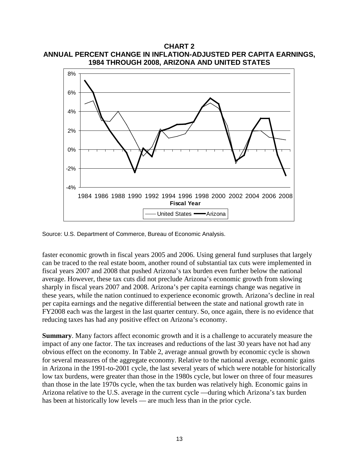**CHART 2 ANNUAL PERCENT CHANGE IN INFLATION-ADJUSTED PER CAPITA EARNINGS, 1984 THROUGH 2008, ARIZONA AND UNITED STATES**



Source: U.S. Department of Commerce, Bureau of Economic Analysis.

faster economic growth in fiscal years 2005 and 2006. Using general fund surpluses that largely can be traced to the real estate boom, another round of substantial tax cuts were implemented in fiscal years 2007 and 2008 that pushed Arizona's tax burden even further below the national average. However, these tax cuts did not preclude Arizona's economic growth from slowing sharply in fiscal years 2007 and 2008. Arizona's per capita earnings change was negative in these years, while the nation continued to experience economic growth. Arizona's decline in real per capita earnings and the negative differential between the state and national growth rate in FY2008 each was the largest in the last quarter century. So, once again, there is no evidence that reducing taxes has had any positive effect on Arizona's economy.

**Summary**. Many factors affect economic growth and it is a challenge to accurately measure the impact of any one factor. The tax increases and reductions of the last 30 years have not had any obvious effect on the economy. In Table 2, average annual growth by economic cycle is shown for several measures of the aggregate economy. Relative to the national average, economic gains in Arizona in the 1991-to-2001 cycle, the last several years of which were notable for historically low tax burdens, were greater than those in the 1980s cycle, but lower on three of four measures than those in the late 1970s cycle, when the tax burden was relatively high. Economic gains in Arizona relative to the U.S. average in the current cycle —during which Arizona's tax burden has been at historically low levels — are much less than in the prior cycle.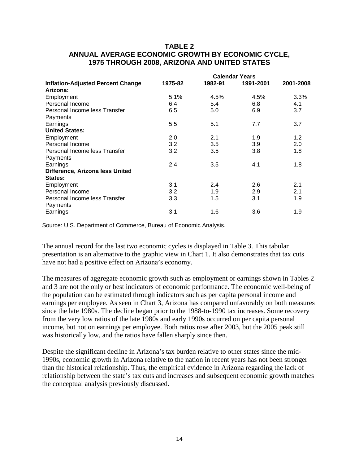#### **TABLE 2 ANNUAL AVERAGE ECONOMIC GROWTH BY ECONOMIC CYCLE, 1975 THROUGH 2008, ARIZONA AND UNITED STATES**

|                                          | <b>Calendar Years</b> |         |           |               |  |
|------------------------------------------|-----------------------|---------|-----------|---------------|--|
| <b>Inflation-Adjusted Percent Change</b> | 1975-82               | 1982-91 | 1991-2001 | 2001-2008     |  |
| Arizona:                                 |                       |         |           |               |  |
| Employment                               | 5.1%                  | 4.5%    | 4.5%      | 3.3%          |  |
| Personal Income                          | 6.4                   | 5.4     | 6.8       | 4.1           |  |
| Personal Income less Transfer            | 6.5                   | 5.0     | 6.9       | 3.7           |  |
| Payments                                 |                       |         |           |               |  |
| Earnings                                 | 5.5                   | 5.1     | 7.7       | 3.7           |  |
| <b>United States:</b>                    |                       |         |           |               |  |
| Employment                               | 2.0                   | 2.1     | 1.9       | $1.2^{\circ}$ |  |
| Personal Income                          | 3.2                   | 3.5     | 3.9       | 2.0           |  |
| Personal Income less Transfer            | 3.2                   | 3.5     | 3.8       | 1.8           |  |
| Payments                                 |                       |         |           |               |  |
| Earnings                                 | 2.4                   | 3.5     | 4.1       | 1.8           |  |
| Difference, Arizona less United          |                       |         |           |               |  |
| States:                                  |                       |         |           |               |  |
| Employment                               | 3.1                   | 2.4     | 2.6       | 2.1           |  |
| Personal Income                          | 3.2                   | 1.9     | 2.9       | 2.1           |  |
| Personal Income less Transfer            | 3.3                   | 1.5     | 3.1       | 1.9           |  |
| Payments                                 |                       |         |           |               |  |
| Earnings                                 | 3.1                   | 1.6     | 3.6       | 1.9           |  |
|                                          |                       |         |           |               |  |

Source: U.S. Department of Commerce, Bureau of Economic Analysis.

The annual record for the last two economic cycles is displayed in Table 3. This tabular presentation is an alternative to the graphic view in Chart 1. It also demonstrates that tax cuts have not had a positive effect on Arizona's economy.

The measures of aggregate economic growth such as employment or earnings shown in Tables 2 and 3 are not the only or best indicators of economic performance. The economic well-being of the population can be estimated through indicators such as per capita personal income and earnings per employee. As seen in Chart 3, Arizona has compared unfavorably on both measures since the late 1980s. The decline began prior to the 1988-to-1990 tax increases. Some recovery from the very low ratios of the late 1980s and early 1990s occurred on per capita personal income, but not on earnings per employee. Both ratios rose after 2003, but the 2005 peak still was historically low, and the ratios have fallen sharply since then.

Despite the significant decline in Arizona's tax burden relative to other states since the mid-1990s, economic growth in Arizona relative to the nation in recent years has not been stronger than the historical relationship. Thus, the empirical evidence in Arizona regarding the lack of relationship between the state's tax cuts and increases and subsequent economic growth matches the conceptual analysis previously discussed.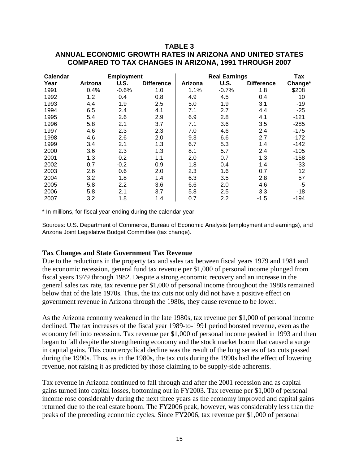## **TABLE 3**

# **ANNUAL ECONOMIC GROWTH RATES IN ARIZONA AND UNITED STATES COMPARED TO TAX CHANGES IN ARIZONA, 1991 THROUGH 2007**

| <b>Calendar</b><br><b>Employment</b> |         |         | <b>Real Earnings</b> | Tax     |         |                   |         |
|--------------------------------------|---------|---------|----------------------|---------|---------|-------------------|---------|
| Year                                 | Arizona | U.S.    | <b>Difference</b>    | Arizona | U.S.    | <b>Difference</b> | Change* |
| 1991                                 | 0.4%    | $-0.6%$ | 1.0                  | 1.1%    | $-0.7%$ | 1.8               | \$208   |
| 1992                                 | 1.2     | 0.4     | 0.8                  | 4.9     | 4.5     | 0.4               | 10      |
| 1993                                 | 4.4     | 1.9     | 2.5                  | 5.0     | 1.9     | 3.1               | $-19$   |
| 1994                                 | 6.5     | 2.4     | 4.1                  | 7.1     | 2.7     | 4.4               | $-25$   |
| 1995                                 | 5.4     | 2.6     | 2.9                  | 6.9     | 2.8     | 4.1               | $-121$  |
| 1996                                 | 5.8     | 2.1     | 3.7                  | 7.1     | 3.6     | 3.5               | $-285$  |
| 1997                                 | 4.6     | 2.3     | 2.3                  | 7.0     | 4.6     | 2.4               | $-175$  |
| 1998                                 | 4.6     | 2.6     | 2.0                  | 9.3     | 6.6     | 2.7               | $-172$  |
| 1999                                 | 3.4     | 2.1     | 1.3                  | 6.7     | 5.3     | 1.4               | $-142$  |
| 2000                                 | 3.6     | 2.3     | 1.3                  | 8.1     | 5.7     | 2.4               | $-105$  |
| 2001                                 | 1.3     | 0.2     | 1.1                  | 2.0     | 0.7     | 1.3               | $-158$  |
| 2002                                 | 0.7     | $-0.2$  | 0.9                  | 1.8     | 0.4     | 1.4               | -33     |
| 2003                                 | 2.6     | 0.6     | 2.0                  | 2.3     | 1.6     | 0.7               | 12      |
| 2004                                 | 3.2     | 1.8     | 1.4                  | 6.3     | 3.5     | 2.8               | 57      |
| 2005                                 | 5.8     | 2.2     | 3.6                  | 6.6     | 2.0     | 4.6               | -5      |
| 2006                                 | 5.8     | 2.1     | 3.7                  | 5.8     | 2.5     | 3.3               | $-18$   |
| 2007                                 | 3.2     | 1.8     | 1.4                  | 0.7     | 2.2     | $-1.5$            | $-194$  |

\* In millions, for fiscal year ending during the calendar year.

Sources: U.S. Department of Commerce, Bureau of Economic Analysis **(**employment and earnings), and Arizona Joint Legislative Budget Committee (tax change).

#### **Tax Changes and State Government Tax Revenue**

Due to the reductions in the property tax and sales tax between fiscal years 1979 and 1981 and the economic recession, general fund tax revenue per \$1,000 of personal income plunged from fiscal years 1979 through 1982. Despite a strong economic recovery and an increase in the general sales tax rate, tax revenue per \$1,000 of personal income throughout the 1980s remained below that of the late 1970s. Thus, the tax cuts not only did not have a positive effect on government revenue in Arizona through the 1980s, they cause revenue to be lower.

As the Arizona economy weakened in the late 1980s, tax revenue per \$1,000 of personal income declined. The tax increases of the fiscal year 1989-to-1991 period boosted revenue, even as the economy fell into recession. Tax revenue per \$1,000 of personal income peaked in 1993 and then began to fall despite the strengthening economy and the stock market boom that caused a surge in capital gains. This countercyclical decline was the result of the long series of tax cuts passed during the 1990s. Thus, as in the 1980s, the tax cuts during the 1990s had the effect of lowering revenue, not raising it as predicted by those claiming to be supply-side adherents.

Tax revenue in Arizona continued to fall through and after the 2001 recession and as capital gains turned into capital losses, bottoming out in FY2003. Tax revenue per \$1,000 of personal income rose considerably during the next three years as the economy improved and capital gains returned due to the real estate boom. The FY2006 peak, however, was considerably less than the peaks of the preceding economic cycles. Since FY2006, tax revenue per \$1,000 of personal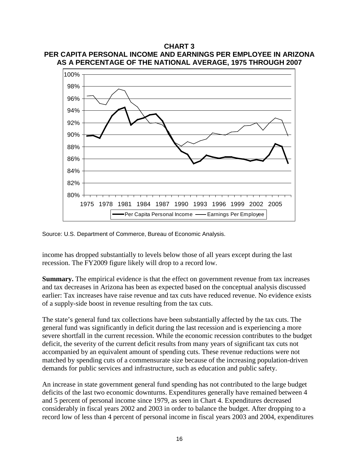## **CHART 3 PER CAPITA PERSONAL INCOME AND EARNINGS PER EMPLOYEE IN ARIZONA AS A PERCENTAGE OF THE NATIONAL AVERAGE, 1975 THROUGH 2007**



Source: U.S. Department of Commerce, Bureau of Economic Analysis.

income has dropped substantially to levels below those of all years except during the last recession. The FY2009 figure likely will drop to a record low.

**Summary.** The empirical evidence is that the effect on government revenue from tax increases and tax decreases in Arizona has been as expected based on the conceptual analysis discussed earlier: Tax increases have raise revenue and tax cuts have reduced revenue. No evidence exists of a supply-side boost in revenue resulting from the tax cuts.

The state's general fund tax collections have been substantially affected by the tax cuts. The general fund was significantly in deficit during the last recession and is experiencing a more severe shortfall in the current recession. While the economic recession contributes to the budget deficit, the severity of the current deficit results from many years of significant tax cuts not accompanied by an equivalent amount of spending cuts. These revenue reductions were not matched by spending cuts of a commensurate size because of the increasing population-driven demands for public services and infrastructure, such as education and public safety.

An increase in state government general fund spending has not contributed to the large budget deficits of the last two economic downturns. Expenditures generally have remained between 4 and 5 percent of personal income since 1979, as seen in Chart 4. Expenditures decreased considerably in fiscal years 2002 and 2003 in order to balance the budget. After dropping to a record low of less than 4 percent of personal income in fiscal years 2003 and 2004, expenditures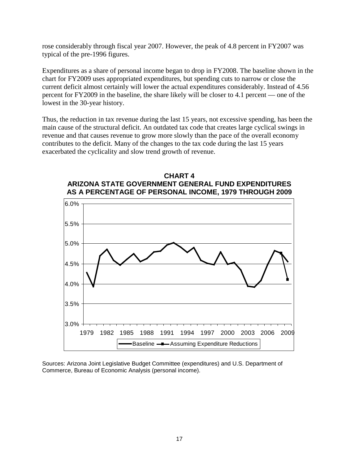rose considerably through fiscal year 2007. However, the peak of 4.8 percent in FY2007 was typical of the pre-1996 figures.

Expenditures as a share of personal income began to drop in FY2008. The baseline shown in the chart for FY2009 uses appropriated expenditures, but spending cuts to narrow or close the current deficit almost certainly will lower the actual expenditures considerably. Instead of 4.56 percent for FY2009 in the baseline, the share likely will be closer to 4.1 percent — one of the lowest in the 30-year history.

Thus, the reduction in tax revenue during the last 15 years, not excessive spending, has been the main cause of the structural deficit. An outdated tax code that creates large cyclical swings in revenue and that causes revenue to grow more slowly than the pace of the overall economy contributes to the deficit. Many of the changes to the tax code during the last 15 years exacerbated the cyclicality and slow trend growth of revenue.



**CHART 4 ARIZONA STATE GOVERNMENT GENERAL FUND EXPENDITURES**

Sources: Arizona Joint Legislative Budget Committee (expenditures) and U.S. Department of Commerce, Bureau of Economic Analysis (personal income).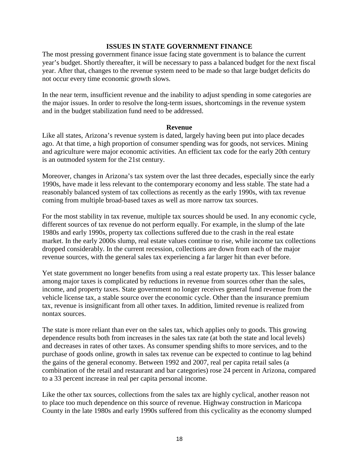#### **ISSUES IN STATE GOVERNMENT FINANCE**

The most pressing government finance issue facing state government is to balance the current year's budget. Shortly thereafter, it will be necessary to pass a balanced budget for the next fiscal year. After that, changes to the revenue system need to be made so that large budget deficits do not occur every time economic growth slows.

In the near term, insufficient revenue and the inability to adjust spending in some categories are the major issues. In order to resolve the long-term issues, shortcomings in the revenue system and in the budget stabilization fund need to be addressed.

#### **Revenue**

Like all states, Arizona's revenue system is dated, largely having been put into place decades ago. At that time, a high proportion of consumer spending was for goods, not services. Mining and agriculture were major economic activities. An efficient tax code for the early 20th century is an outmoded system for the 21st century.

Moreover, changes in Arizona's tax system over the last three decades, especially since the early 1990s, have made it less relevant to the contemporary economy and less stable. The state had a reasonably balanced system of tax collections as recently as the early 1990s, with tax revenue coming from multiple broad-based taxes as well as more narrow tax sources.

For the most stability in tax revenue, multiple tax sources should be used. In any economic cycle, different sources of tax revenue do not perform equally. For example, in the slump of the late 1980s and early 1990s, property tax collections suffered due to the crash in the real estate market. In the early 2000s slump, real estate values continue to rise, while income tax collections dropped considerably. In the current recession, collections are down from each of the major revenue sources, with the general sales tax experiencing a far larger hit than ever before.

Yet state government no longer benefits from using a real estate property tax. This lesser balance among major taxes is complicated by reductions in revenue from sources other than the sales, income, and property taxes. State government no longer receives general fund revenue from the vehicle license tax, a stable source over the economic cycle. Other than the insurance premium tax, revenue is insignificant from all other taxes. In addition, limited revenue is realized from nontax sources.

The state is more reliant than ever on the sales tax, which applies only to goods. This growing dependence results both from increases in the sales tax rate (at both the state and local levels) and decreases in rates of other taxes. As consumer spending shifts to more services, and to the purchase of goods online, growth in sales tax revenue can be expected to continue to lag behind the gains of the general economy. Between 1992 and 2007, real per capita retail sales (a combination of the retail and restaurant and bar categories) rose 24 percent in Arizona, compared to a 33 percent increase in real per capita personal income.

Like the other tax sources, collections from the sales tax are highly cyclical, another reason not to place too much dependence on this source of revenue. Highway construction in Maricopa County in the late 1980s and early 1990s suffered from this cyclicality as the economy slumped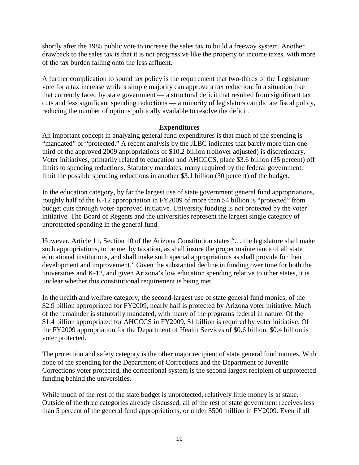shortly after the 1985 public vote to increase the sales tax to build a freeway system. Another drawback to the sales tax is that it is not progressive like the property or income taxes, with more of the tax burden falling onto the less affluent.

A further complication to sound tax policy is the requirement that two-thirds of the Legislature vote for a tax increase while a simple majority can approve a tax reduction. In a situation like that currently faced by state government — a structural deficit that resulted from significant tax cuts and less significant spending reductions — a minority of legislators can dictate fiscal policy, reducing the number of options politically available to resolve the deficit.

#### **Expenditures**

An important concept in analyzing general fund expenditures is that much of the spending is "mandated" or "protected." A recent analysis by the JLBC indicates that barely more than onethird of the approved 2009 appropriations of \$10.2 billion (rollover adjusted) is discretionary. Voter initiatives, primarily related to education and AHCCCS, place \$3.6 billion (35 percent) off limits to spending reductions. Statutory mandates, many required by the federal government, limit the possible spending reductions in another \$3.1 billion (30 percent) of the budget.

In the education category, by far the largest use of state government general fund appropriations, roughly half of the K-12 appropriation in FY2009 of more than \$4 billion is "protected" from budget cuts through voter-approved initiative. University funding is not protected by the voter initiative. The Board of Regents and the universities represent the largest single category of unprotected spending in the general fund.

However, Article 11, Section 10 of the Arizona Constitution states "… the legislature shall make such appropriations, to be met by taxation, as shall insure the proper maintenance of all state educational institutions, and shall make such special appropriations as shall provide for their development and improvement." Given the substantial decline in funding over time for both the universities and K-12, and given Arizona's low education spending relative to other states, it is unclear whether this constitutional requirement is being met.

In the health and welfare category, the second-largest use of state general fund monies, of the \$2.9 billion appropriated for FY2009, nearly half is protected by Arizona voter initiative. Much of the remainder is statutorily mandated, with many of the programs federal in nature. Of the \$1.4 billion appropriated for AHCCCS in FY2009, \$1 billion is required by voter initiative. Of the FY2009 appropriation for the Department of Health Services of \$0.6 billion, \$0.4 billion is voter protected.

The protection and safety category is the other major recipient of state general fund monies. With none of the spending for the Department of Corrections and the Department of Juvenile Corrections voter protected, the correctional system is the second-largest recipient of unprotected funding behind the universities.

While much of the rest of the state budget is unprotected, relatively little money is at stake. Outside of the three categories already discussed, all of the rest of state government receives less than 5 percent of the general fund appropriations, or under \$500 million in FY2009. Even if all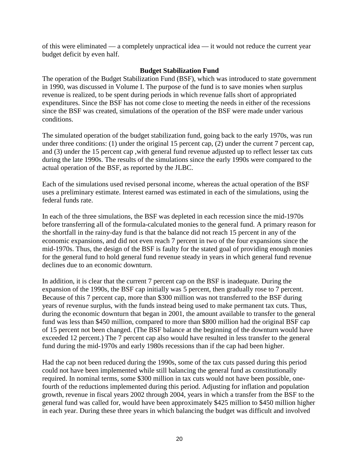of this were eliminated — a completely unpractical idea — it would not reduce the current year budget deficit by even half.

#### **Budget Stabilization Fund**

The operation of the Budget Stabilization Fund (BSF), which was introduced to state government in 1990, was discussed in Volume I. The purpose of the fund is to save monies when surplus revenue is realized, to be spent during periods in which revenue falls short of appropriated expenditures. Since the BSF has not come close to meeting the needs in either of the recessions since the BSF was created, simulations of the operation of the BSF were made under various conditions.

The simulated operation of the budget stabilization fund, going back to the early 1970s, was run under three conditions: (1) under the original 15 percent cap, (2) under the current 7 percent cap, and (3) under the 15 percent cap ,with general fund revenue adjusted up to reflect lesser tax cuts during the late 1990s. The results of the simulations since the early 1990s were compared to the actual operation of the BSF, as reported by the JLBC.

Each of the simulations used revised personal income, whereas the actual operation of the BSF uses a preliminary estimate. Interest earned was estimated in each of the simulations, using the federal funds rate.

In each of the three simulations, the BSF was depleted in each recession since the mid-1970s before transferring all of the formula-calculated monies to the general fund. A primary reason for the shortfall in the rainy-day fund is that the balance did not reach 15 percent in any of the economic expansions, and did not even reach 7 percent in two of the four expansions since the mid-1970s. Thus, the design of the BSF is faulty for the stated goal of providing enough monies for the general fund to hold general fund revenue steady in years in which general fund revenue declines due to an economic downturn.

In addition, it is clear that the current 7 percent cap on the BSF is inadequate. During the expansion of the 1990s, the BSF cap initially was 5 percent, then gradually rose to 7 percent. Because of this 7 percent cap, more than \$300 million was not transferred to the BSF during years of revenue surplus, with the funds instead being used to make permanent tax cuts. Thus, during the economic downturn that began in 2001, the amount available to transfer to the general fund was less than \$450 million, compared to more than \$800 million had the original BSF cap of 15 percent not been changed. (The BSF balance at the beginning of the downturn would have exceeded 12 percent.) The 7 percent cap also would have resulted in less transfer to the general fund during the mid-1970s and early 1980s recessions than if the cap had been higher.

Had the cap not been reduced during the 1990s, some of the tax cuts passed during this period could not have been implemented while still balancing the general fund as constitutionally required. In nominal terms, some \$300 million in tax cuts would not have been possible, onefourth of the reductions implemented during this period. Adjusting for inflation and population growth, revenue in fiscal years 2002 through 2004, years in which a transfer from the BSF to the general fund was called for, would have been approximately \$425 million to \$450 million higher in each year. During these three years in which balancing the budget was difficult and involved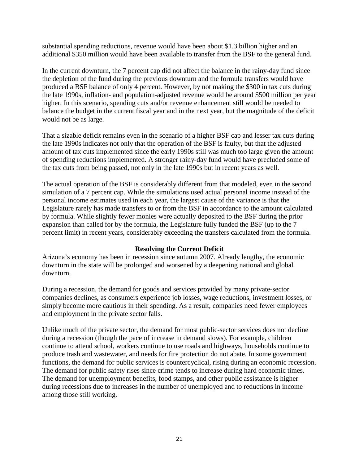substantial spending reductions, revenue would have been about \$1.3 billion higher and an additional \$350 million would have been available to transfer from the BSF to the general fund.

In the current downturn, the 7 percent cap did not affect the balance in the rainy-day fund since the depletion of the fund during the previous downturn and the formula transfers would have produced a BSF balance of only 4 percent. However, by not making the \$300 in tax cuts during the late 1990s, inflation- and population-adjusted revenue would be around \$500 million per year higher. In this scenario, spending cuts and/or revenue enhancement still would be needed to balance the budget in the current fiscal year and in the next year, but the magnitude of the deficit would not be as large.

That a sizable deficit remains even in the scenario of a higher BSF cap and lesser tax cuts during the late 1990s indicates not only that the operation of the BSF is faulty, but that the adjusted amount of tax cuts implemented since the early 1990s still was much too large given the amount of spending reductions implemented. A stronger rainy-day fund would have precluded some of the tax cuts from being passed, not only in the late 1990s but in recent years as well.

The actual operation of the BSF is considerably different from that modeled, even in the second simulation of a 7 percent cap. While the simulations used actual personal income instead of the personal income estimates used in each year, the largest cause of the variance is that the Legislature rarely has made transfers to or from the BSF in accordance to the amount calculated by formula. While slightly fewer monies were actually deposited to the BSF during the prior expansion than called for by the formula, the Legislature fully funded the BSF (up to the 7 percent limit) in recent years, considerably exceeding the transfers calculated from the formula.

#### **Resolving the Current Deficit**

Arizona's economy has been in recession since autumn 2007. Already lengthy, the economic downturn in the state will be prolonged and worsened by a deepening national and global downturn.

During a recession, the demand for goods and services provided by many private-sector companies declines, as consumers experience job losses, wage reductions, investment losses, or simply become more cautious in their spending. As a result, companies need fewer employees and employment in the private sector falls.

Unlike much of the private sector, the demand for most public-sector services does not decline during a recession (though the pace of increase in demand slows). For example, children continue to attend school, workers continue to use roads and highways, households continue to produce trash and wastewater, and needs for fire protection do not abate. In some government functions, the demand for public services is countercyclical, rising during an economic recession. The demand for public safety rises since crime tends to increase during hard economic times. The demand for unemployment benefits, food stamps, and other public assistance is higher during recessions due to increases in the number of unemployed and to reductions in income among those still working.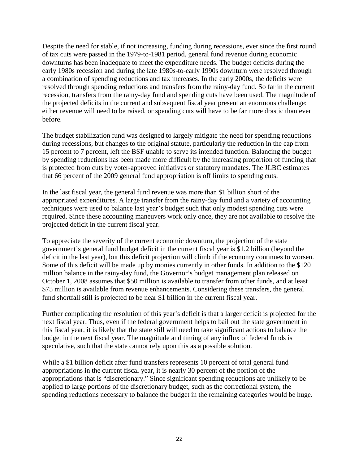Despite the need for stable, if not increasing, funding during recessions, ever since the first round of tax cuts were passed in the 1979-to-1981 period, general fund revenue during economic downturns has been inadequate to meet the expenditure needs. The budget deficits during the early 1980s recession and during the late 1980s-to-early 1990s downturn were resolved through a combination of spending reductions and tax increases. In the early 2000s, the deficits were resolved through spending reductions and transfers from the rainy-day fund. So far in the current recession, transfers from the rainy-day fund and spending cuts have been used. The magnitude of the projected deficits in the current and subsequent fiscal year present an enormous challenge: either revenue will need to be raised, or spending cuts will have to be far more drastic than ever before.

The budget stabilization fund was designed to largely mitigate the need for spending reductions during recessions, but changes to the original statute, particularly the reduction in the cap from 15 percent to 7 percent, left the BSF unable to serve its intended function. Balancing the budget by spending reductions has been made more difficult by the increasing proportion of funding that is protected from cuts by voter-approved initiatives or statutory mandates. The JLBC estimates that 66 percent of the 2009 general fund appropriation is off limits to spending cuts.

In the last fiscal year, the general fund revenue was more than \$1 billion short of the appropriated expenditures. A large transfer from the rainy-day fund and a variety of accounting techniques were used to balance last year's budget such that only modest spending cuts were required. Since these accounting maneuvers work only once, they are not available to resolve the projected deficit in the current fiscal year.

To appreciate the severity of the current economic downturn, the projection of the state government's general fund budget deficit in the current fiscal year is \$1.2 billion (beyond the deficit in the last year), but this deficit projection will climb if the economy continues to worsen. Some of this deficit will be made up by monies currently in other funds. In addition to the \$120 million balance in the rainy-day fund, the Governor's budget management plan released on October 1, 2008 assumes that \$50 million is available to transfer from other funds, and at least \$75 million is available from revenue enhancements. Considering these transfers, the general fund shortfall still is projected to be near \$1 billion in the current fiscal year.

Further complicating the resolution of this year's deficit is that a larger deficit is projected for the next fiscal year. Thus, even if the federal government helps to bail out the state government in this fiscal year, it is likely that the state still will need to take significant actions to balance the budget in the next fiscal year. The magnitude and timing of any influx of federal funds is speculative, such that the state cannot rely upon this as a possible solution.

While a \$1 billion deficit after fund transfers represents 10 percent of total general fund appropriations in the current fiscal year, it is nearly 30 percent of the portion of the appropriations that is "discretionary." Since significant spending reductions are unlikely to be applied to large portions of the discretionary budget, such as the correctional system, the spending reductions necessary to balance the budget in the remaining categories would be huge.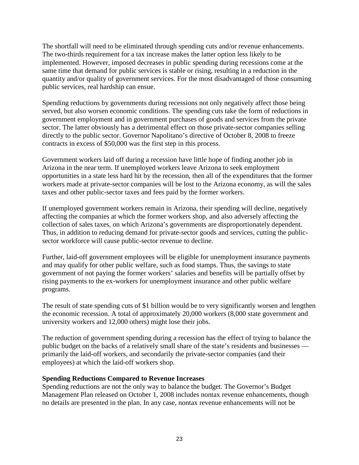The shortfall will need to be eliminated through spending cuts and/or revenue enhancements. The two-thirds requirement for a tax increase makes the latter option less likely to be implemented. However, imposed decreases in public spending during recessions come at the same time that demand for public services is stable or rising, resulting in a reduction in the quantity and/or quality of government services. For the most disadvantaged of those consuming public services, real hardship can ensue.

Spending reductions by governments during recessions not only negatively affect those being served, but also worsen economic conditions. The spending cuts take the form of reductions in government employment and in government purchases of goods and services from the private sector. The latter obviously has a detrimental effect on those private-sector companies selling directly to the public sector. Governor Napolitano's directive of October 8, 2008 to freeze contracts in excess of \$50,000 was the first step in this process.

Government workers laid off during a recession have little hope of finding another job in Arizona in the near term. If unemployed workers leave Arizona to seek employment opportunities in a state less hard hit by the recession, then all of the expenditures that the former workers made at private-sector companies will be lost to the Arizona economy, as will the sales taxes and other public-sector taxes and fees paid by the former workers.

If unemployed government workers remain in Arizona, their spending will decline, negatively affecting the companies at which the former workers shop, and also adversely affecting the collection of sales taxes, on which Arizona's governments are disproportionately dependent. Thus, in addition to reducing demand for private-sector goods and services, cutting the publicsector workforce will cause public-sector revenue to decline.

Further, laid-off government employees will be eligible for unemployment insurance payments and may qualify for other public welfare, such as food stamps. Thus, the savings to state government of not paying the former workers' salaries and benefits will be partially offset by rising payments to the ex-workers for unemployment insurance and other public welfare programs.

The result of state spending cuts of \$1 billion would be to very significantly worsen and lengthen the economic recession. A total of approximately 20,000 workers (8,000 state government and university workers and 12,000 others) might lose their jobs.

The reduction of government spending during a recession has the effect of trying to balance the public budget on the backs of a relatively small share of the state's residents and businesses primarily the laid-off workers, and secondarily the private-sector companies (and their employees) at which the laid-off workers shop.

## **Spending Reductions Compared to Revenue Increases**

Spending reductions are not the only way to balance the budget. The Governor's Budget Management Plan released on October 1, 2008 includes nontax revenue enhancements, though no details are presented in the plan. In any case, nontax revenue enhancements will not be